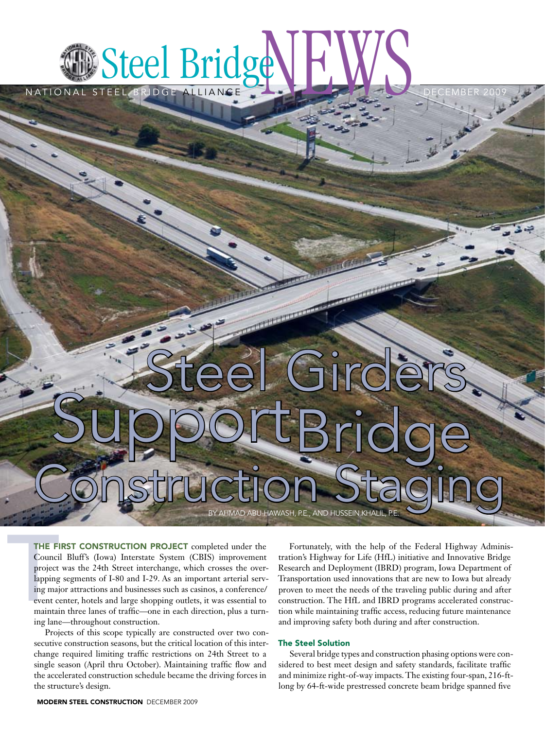## Steel Bridge Bridge Bridge HUNGER 2009

NATIONAL

# Steel Girders BY AHMAD ABU-HAWASH, P.E., AND HUSSEIN KHALII Construction Staging SupportBridge

**PERSONAL PROPERTY** 

THE FI<br>Counci<br>project<br>lapping<br>ing maj<br>event co<br>maintai THE FIRST CONSTRUCTION PROJECT completed under the Council Bluff's (Iowa) Interstate System (CBIS) improvement project was the 24th Street interchange, which crosses the overlapping segments of I-80 and I-29. As an important arterial serving major attractions and businesses such as casinos, a conference/ event center, hotels and large shopping outlets, it was essential to maintain three lanes of traffic—one in each direction, plus a turning lane—throughout construction.

Projects of this scope typically are constructed over two consecutive construction seasons, but the critical location of this interchange required limiting traffic restrictions on 24th Street to a single season (April thru October). Maintaining traffic flow and the accelerated construction schedule became the driving forces in the structure's design.

Fortunately, with the help of the Federal Highway Administration's Highway for Life (HfL) initiative and Innovative Bridge Research and Deployment (IBRD) program, Iowa Department of Transportation used innovations that are new to Iowa but already proven to meet the needs of the traveling public during and after construction. The HfL and IBRD programs accelerated construction while maintaining traffic access, reducing future maintenance and improving safety both during and after construction.

#### The Steel Solution

Several bridge types and construction phasing options were considered to best meet design and safety standards, facilitate traffic and minimize right-of-way impacts. The existing four-span, 216-ftlong by 64-ft-wide prestressed concrete beam bridge spanned five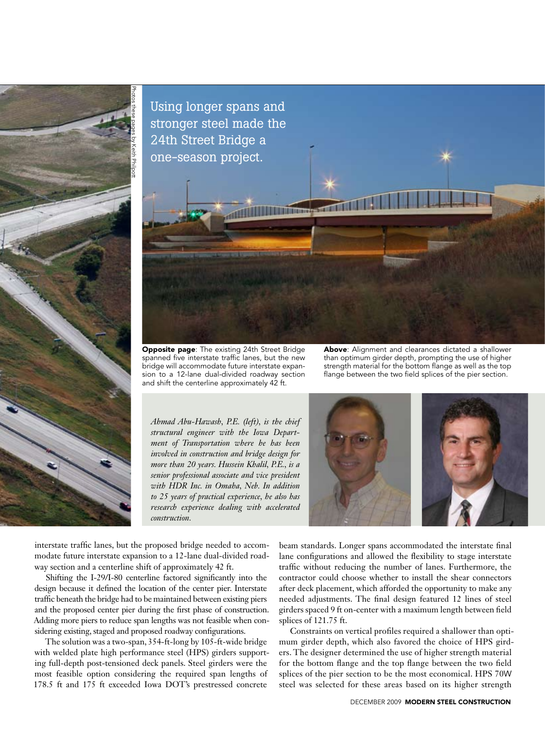

Using longer spans and stronger steel made the 24th Street Bridge a one-season project.

Opposite page: The existing 24th Street Bridge spanned five interstate traffic lanes, but the new bridge will accommodate future interstate expansion to a 12-lane dual-divided roadway section and shift the centerline approximately 42 ft.

Above: Alignment and clearances dictated a shallower than optimum girder depth, prompting the use of higher strength material for the bottom flange as well as the top flange between the two field splices of the pier section.

*Ahmad Abu-Hawash, P.E. (left), is the chief structural engineer with the Iowa Department of Transportation where he has been involved in construction and bridge design for more than 20 years. Hussein Khalil, P.E., is a senior professional associate and vice president with HDR Inc. in Omaha, Neb. In addition to 25 years of practical experience, he also has research experience dealing with accelerated construction.*



interstate traffic lanes, but the proposed bridge needed to accommodate future interstate expansion to a 12-lane dual-divided roadway section and a centerline shift of approximately 42 ft.

Shifting the I-29/I-80 centerline factored significantly into the design because it defined the location of the center pier. Interstate traffic beneath the bridge had to be maintained between existing piers and the proposed center pier during the first phase of construction. Adding more piers to reduce span lengths was not feasible when considering existing, staged and proposed roadway configurations.

The solution was a two-span, 354-ft-long by 105-ft-wide bridge with welded plate high performance steel (HPS) girders supporting full-depth post-tensioned deck panels. Steel girders were the most feasible option considering the required span lengths of 178.5 ft and 175 ft exceeded Iowa DOT's prestressed concrete

beam standards. Longer spans accommodated the interstate final lane configurations and allowed the flexibility to stage interstate traffic without reducing the number of lanes. Furthermore, the contractor could choose whether to install the shear connectors after deck placement, which afforded the opportunity to make any needed adjustments. The final design featured 12 lines of steel girders spaced 9 ft on-center with a maximum length between field splices of 121.75 ft.

Constraints on vertical profiles required a shallower than optimum girder depth, which also favored the choice of HPS girders. The designer determined the use of higher strength material for the bottom flange and the top flange between the two field splices of the pier section to be the most economical. HPS 70W steel was selected for these areas based on its higher strength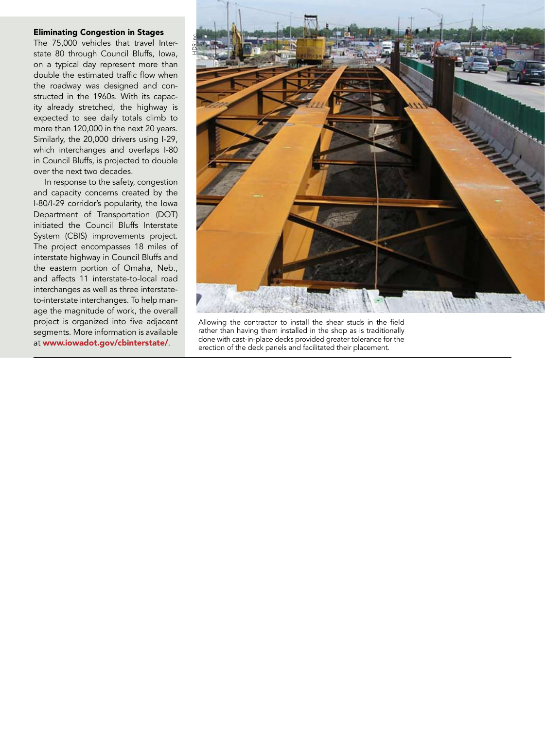#### Eliminating Congestion in Stages

The 75,000 vehicles that travel Interstate 80 through Council Bluffs, Iowa, on a typical day represent more than double the estimated traffic flow when the roadway was designed and constructed in the 1960s. With its capacity already stretched, the highway is expected to see daily totals climb to more than 120,000 in the next 20 years. Similarly, the 20,000 drivers using I-29, which interchanges and overlaps I-80 in Council Bluffs, is projected to double over the next two decades.

In response to the safety, congestion and capacity concerns created by the I-80/I-29 corridor's popularity, the Iowa Department of Transportation (DOT) initiated the Council Bluffs Interstate System (CBIS) improvements project. The project encompasses 18 miles of interstate highway in Council Bluffs and the eastern portion of Omaha, Neb., and affects 11 interstate-to-local road interchanges as well as three interstateto-interstate interchanges. To help manage the magnitude of work, the overall project is organized into five adjacent segments. More information is available at www.iowadot.gov/cbinterstate/.



Allowing the contractor to install the shear studs in the field rather than having them installed in the shop as is traditionally done with cast-in-place decks provided greater tolerance for the erection of the deck panels and facilitated their placement.